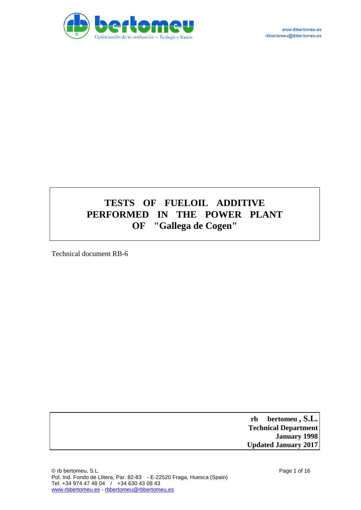

# **TESTS OF FUELOIL ADDITIVE PERFORMED IN THE POWER PLANT OF "Gallega de Cogen"**

Technical document RB-6

 **rb bertomeu , S.L. Technical Department January 1998 Updated January 2017**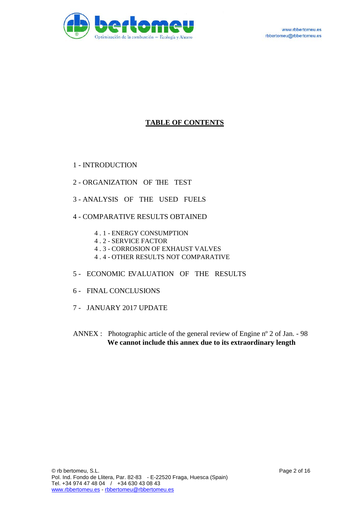

### **TABLE OF CONTENTS**

1 - INTRODUCTION

- 2 ORGANIZATION OF THE TEST
- 3 ANALYSIS OF THE USED FUELS
- 4 COMPARATIVE RESULTS OBTAINED
	- 4 . 1 ENERGY CONSUMPTION
	- 4 . 2 SERVICE FACTOR
	- 4 . 3 CORROSION OF EXHAUST VALVES
	- 4 . 4 OTHER RESULTS NOT COMPARATIVE
- 5 ECONOMIC EVALUATION OF THE RESULTS
- 6 FINAL CONCLUSIONS
- 7 JANUARY 2017 UPDATE
- ANNEX : Photographic article of the general review of Engine nº 2 of Jan. 98 **We cannot include this annex due to its extraordinary length**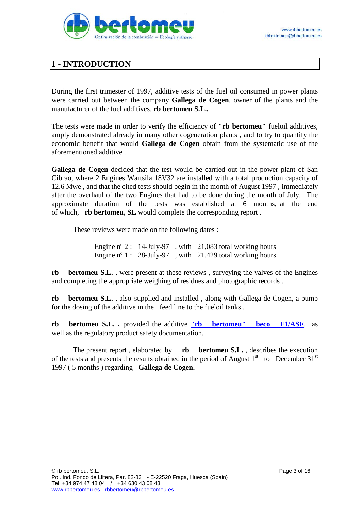

## **1 - INTRODUCTION**

During the first trimester of 1997, additive tests of the fuel oil consumed in power plants were carried out between the company **Gallega de Cogen**, owner of the plants and the manufacturer of the fuel additives, **rb bertomeu S.L..**

The tests were made in order to verify the efficiency of **"rb bertomeu"** fueloil additives, amply demonstrated already in many other cogeneration plants , and to try to quantify the economic benefit that would **Gallega de Cogen** obtain from the systematic use of the aforementioned additive .

**Gallega de Cogen** decided that the test would be carried out in the power plant of San Cibrao, where 2 Engines Wartsila 18V32 are installed with a total production capacity of 12.6 Mwe , and that the cited tests should begin in the month of August 1997 , immediately after the overhaul of the two Engines that had to be done during the month of July. The approximate duration of the tests was established at 6 months, at the end of which, **rb bertomeu, SL** would complete the corresponding report .

These reviews were made on the following dates :

Engine nº 2 : 14-July-97 , with 21,083 total working hours Engine n° 1 : 28-July-97, with 21,429 total working hours

**rb** bertomeu S.L., were present at these reviews, surveying the valves of the Engines and completing the appropriate weighing of residues and photographic records .

**rb** bertomeu S.L., also supplied and installed, along with Gallega de Cogen, a pump for the dosing of the additive in the feed line to the fueloil tanks .

**rb bertomeu S.L. ,** provided the additive **["rb bertomeu" beco F1/ASF](http://www.rbbertomeu.es/htmlish/PRODUCTOS_ISH/becoF1ASF_ish.htm)**, as well as the regulatory product safety documentation.

The present report , elaborated by **rb bertomeu S.L.** , describes the execution of the tests and presents the results obtained in the period of August  $1<sup>st</sup>$  to December 31 $<sup>st</sup>$ </sup> 1997 ( 5 months ) regarding **Gallega de Cogen.**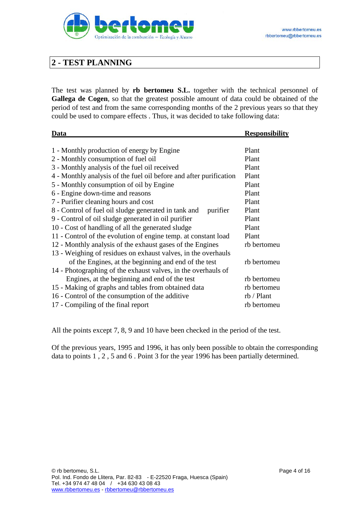

## **2 - TEST PLANNING**

The test was planned by **rb bertomeu S.L.** together with the technical personnel of **Gallega de Cogen**, so that the greatest possible amount of data could be obtained of the period of test and from the same corresponding months of the 2 previous years so that they could be used to compare effects . Thus, it was decided to take following data:

| Data                                                               | <b>Responsibility</b> |
|--------------------------------------------------------------------|-----------------------|
|                                                                    |                       |
| 1 - Monthly production of energy by Engine                         | Plant                 |
| 2 - Monthly consumption of fuel oil                                | Plant                 |
| 3 - Monthly analysis of the fuel oil received                      | Plant                 |
| 4 - Monthly analysis of the fuel oil before and after purification | Plant                 |
| 5 - Monthly consumption of oil by Engine                           | Plant                 |
| 6 - Engine down-time and reasons                                   | Plant                 |
| 7 - Purifier cleaning hours and cost                               | Plant                 |
| 8 - Control of fuel oil sludge generated in tank and<br>purifier   | Plant                 |
| 9 - Control of oil sludge generated in oil purifier                | Plant                 |
| 10 - Cost of handling of all the generated sludge                  | Plant                 |
| 11 - Control of the evolution of engine temp. at constant load     | Plant                 |
| 12 - Monthly analysis of the exhaust gases of the Engines          | rb bertomeu           |
| 13 - Weighing of residues on exhaust valves, in the overhauls      |                       |
| of the Engines, at the beginning and end of the test               | rb bertomeu           |
| 14 - Photographing of the exhaust valves, in the overhauls of      |                       |
| Engines, at the beginning and end of the test                      | rb bertomeu           |
| 15 - Making of graphs and tables from obtained data                | rb bertomeu           |
| 16 - Control of the consumption of the additive                    | rb / Plant            |
| 17 - Compiling of the final report                                 | rb bertomeu           |

All the points except 7, 8, 9 and 10 have been checked in the period of the test.

Of the previous years, 1995 and 1996, it has only been possible to obtain the corresponding data to points 1 , 2 , 5 and 6 . Point 3 for the year 1996 has been partially determined.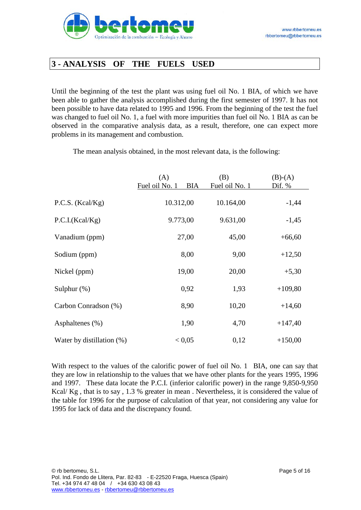

## **3 - ANALYSIS OF THE FUELS USED**

Until the beginning of the test the plant was using fuel oil No. 1 BIA, of which we have been able to gather the analysis accomplished during the first semester of 1997. It has not been possible to have data related to 1995 and 1996. From the beginning of the test the fuel was changed to fuel oil No. 1, a fuel with more impurities than fuel oil No. 1 BIA as can be observed in the comparative analysis data, as a result, therefore, one can expect more problems in its management and combustion.

|                              | (A)<br>Fuel oil No. 1<br><b>BIA</b> | (B)<br>Fuel oil No. 1 | $(B)-(A)$<br>Dif. % |
|------------------------------|-------------------------------------|-----------------------|---------------------|
| P.C.S. (Kcal/Kg)             | 10.312,00                           | 10.164,00             | $-1,44$             |
| P.C.I.(Kcal/Kg)              | 9.773,00                            | 9.631,00              | $-1,45$             |
| Vanadium (ppm)               | 27,00                               | 45,00                 | $+66,60$            |
| Sodium (ppm)                 | 8,00                                | 9,00                  | $+12,50$            |
| Nickel (ppm)                 | 19,00                               | 20,00                 | $+5,30$             |
| Sulphur $(\%)$               | 0,92                                | 1,93                  | $+109,80$           |
| Carbon Conradson (%)         | 8,90                                | 10,20                 | $+14,60$            |
| Asphaltenes $(\% )$          | 1,90                                | 4,70                  | $+147,40$           |
| Water by distillation $(\%)$ | < 0.05                              | 0,12                  | $+150,00$           |

The mean analysis obtained, in the most relevant data, is the following:

With respect to the values of the calorific power of fuel oil No. 1 BIA, one can say that they are low in relationship to the values that we have other plants for the years 1995, 1996 and 1997. These data locate the P.C.I. (inferior calorific power) in the range 9,850-9,950 Kcal/ Kg , that is to say , 1.3 % greater in mean . Nevertheless, it is considered the value of the table for 1996 for the purpose of calculation of that year, not considering any value for 1995 for lack of data and the discrepancy found.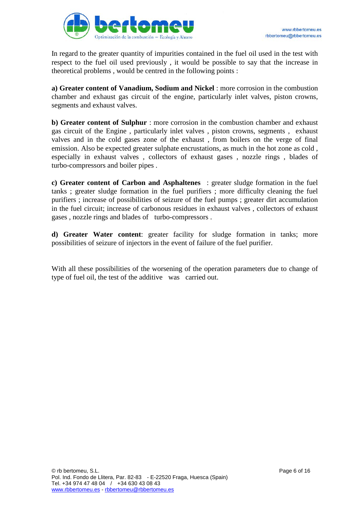

In regard to the greater quantity of impurities contained in the fuel oil used in the test with respect to the fuel oil used previously , it would be possible to say that the increase in theoretical problems , would be centred in the following points :

**a) Greater content of Vanadium, Sodium and Nickel** : more corrosion in the combustion chamber and exhaust gas circuit of the engine, particularly inlet valves, piston crowns, segments and exhaust valves.

**b) Greater content of Sulphur** : more corrosion in the combustion chamber and exhaust gas circuit of the Engine , particularly inlet valves , piston crowns, segments , exhaust valves and in the cold gases zone of the exhaust , from boilers on the verge of final emission. Also be expected greater sulphate encrustations, as much in the hot zone as cold , especially in exhaust valves , collectors of exhaust gases , nozzle rings , blades of turbo-compressors and boiler pipes .

**c) Greater content of Carbon and Asphaltenes** : greater sludge formation in the fuel tanks ; greater sludge formation in the fuel purifiers ; more difficulty cleaning the fuel purifiers ; increase of possibilities of seizure of the fuel pumps ; greater dirt accumulation in the fuel circuit; increase of carbonous residues in exhaust valves , collectors of exhaust gases , nozzle rings and blades of turbo-compressors .

**d) Greater Water content**: greater facility for sludge formation in tanks; more possibilities of seizure of injectors in the event of failure of the fuel purifier.

With all these possibilities of the worsening of the operation parameters due to change of type of fuel oil, the test of the additive was carried out.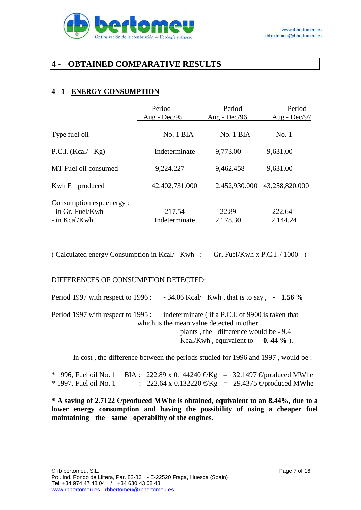

## **4 - OBTAINED COMPARATIVE RESULTS**

### **4 - 1 ENERGY CONSUMPTION**

|                                                                   | Period                  | Period            | Period             |
|-------------------------------------------------------------------|-------------------------|-------------------|--------------------|
|                                                                   | Aug - Dec/95            | Aug - Dec/96      | Aug - $Dec/97$     |
| Type fuel oil                                                     | No. 1 BIA               | No. 1 BIA         | No.1               |
| P.C.I. (Kcal/ $Kg$ )                                              | Indeterminate           | 9,773.00          | 9,631.00           |
| MT Fuel oil consumed                                              | 9,224.227               | 9,462.458         | 9,631.00           |
| Kwh E produced                                                    | 42,402,731.000          | 2,452,930.000     | 43,258,820.000     |
| Consumption esp. energy :<br>$-$ in Gr. Fuel/Kwh<br>- in Kcal/Kwh | 217.54<br>Indeterminate | 22.89<br>2,178.30 | 222.64<br>2,144.24 |
|                                                                   |                         |                   |                    |

( Calculated energy Consumption in Kcal/ Kwh : Gr. Fuel/Kwh x P.C.I. / 1000 )

DIFFERENCES OF CONSUMPTION DETECTED:

| Period 1997 with respect to 1996 : $-34.06$ Kcal/Kwh, that is to say, $-1.56$ %                                                  |
|----------------------------------------------------------------------------------------------------------------------------------|
| Period 1997 with respect to 1995 : indeterminate (if a P.C.I. of 9900 is taken that<br>which is the mean value detected in other |
| plants, the difference would be - 9.4                                                                                            |
| Kcal/Kwh, equivalent to $-0.44\%$ ).                                                                                             |

In cost , the difference between the periods studied for 1996 and 1997 , would be :

|                          | * 1996, Fuel oil No. 1 BIA : 222.89 x 0.144240 €Kg = 32.1497 € produced MWhe |  |
|--------------------------|------------------------------------------------------------------------------|--|
| $*$ 1997, Fuel oil No. 1 | : 222.64 x 0.132220 €Kg = 29.4375 € produced MWhe                            |  |

**\* A saving of 2.7122 €/produced MWhe is obtained, equivalent to an 8.44%, due to a lower energy consumption and having the possibility of using a cheaper fuel maintaining the same operability of the engines.**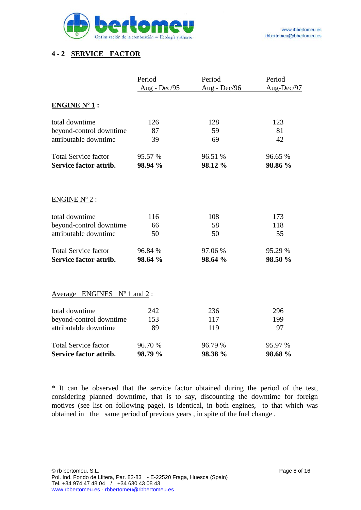

### **4 - 2 SERVICE FACTOR**

|                                      | Period       | Period       | Period     |
|--------------------------------------|--------------|--------------|------------|
|                                      | Aug - Dec/95 | Aug - Dec/96 | Aug-Dec/97 |
| <b>ENGINE Nº 1:</b>                  |              |              |            |
| total downtime                       | 126          | 128          | 123        |
| beyond-control downtime              | 87           | 59           | 81         |
| attributable downtime                | 39           | 69           | 42         |
| <b>Total Service factor</b>          | 95.57 %      | 96.51 %      | 96.65 %    |
| Service factor attrib.               | 98.94 %      | 98.12 %      | 98.86 %    |
|                                      |              |              |            |
| $ENGINE N^{\circ} 2$ :               |              |              |            |
| total downtime                       | 116          | 108          | 173        |
| beyond-control downtime              | 66           | 58           | 118        |
| attributable downtime                | 50           | 50           | 55         |
| <b>Total Service factor</b>          | 96.84 %      | 97.06 %      | 95.29 %    |
| Service factor attrib.               | 98.64 %      | 98.64 %      | 98.50 %    |
|                                      |              |              |            |
| Average ENGINES $N^{\circ}$ 1 and 2: |              |              |            |
| total downtime                       | 242          | 236          | 296        |
| beyond-control downtime              | 153          | 117          | 199        |
| attributable downtime                | 89           | 119          | 97         |
| <b>Total Service factor</b>          | 96.70 %      | 96.79 %      | 95.97 %    |
| Service factor attrib.               | 98.79 %      | 98.38 %      | 98.68 %    |

\* It can be observed that the service factor obtained during the period of the test, considering planned downtime, that is to say, discounting the downtime for foreign motives (see list on following page), is identical, in both engines, to that which was obtained in the same period of previous years , in spite of the fuel change .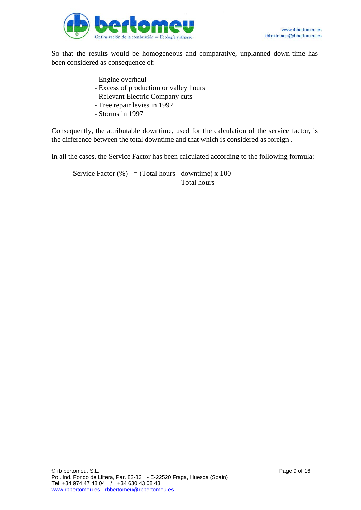

So that the results would be homogeneous and comparative, unplanned down-time has been considered as consequence of:

- Engine overhaul
- Excess of production or valley hours
- Relevant Electric Company cuts
- Tree repair levies in 1997
- Storms in 1997

Consequently, the attributable downtime, used for the calculation of the service factor, is the difference between the total downtime and that which is considered as foreign .

In all the cases, the Service Factor has been calculated according to the following formula:

Service Factor  $%$  = (Total hours - downtime) x 100 Total hours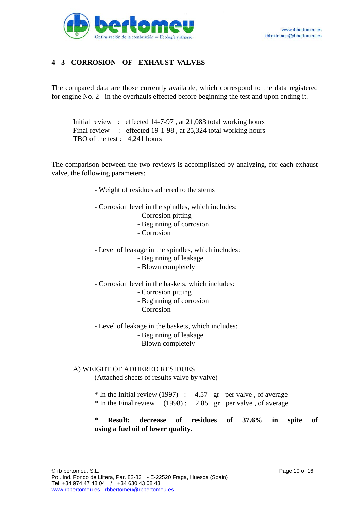

### **4 - 3 CORROSION OF EXHAUST VALVES**

The compared data are those currently available, which correspond to the data registered for engine No. 2 in the overhauls effected before beginning the test and upon ending it.

Initial review : effected 14-7-97 , at 21,083 total working hours Final review : effected 19-1-98, at 25,324 total working hours TBO of the test : 4,241 hours

The comparison between the two reviews is accomplished by analyzing, for each exhaust valve, the following parameters:

- Weight of residues adhered to the stems
- Corrosion level in the spindles, which includes:
	- Corrosion pitting
	- Beginning of corrosion
	- Corrosion
- Level of leakage in the spindles, which includes:
	- Beginning of leakage
	- Blown completely
- Corrosion level in the baskets, which includes:
	- Corrosion pitting
	- Beginning of corrosion
	- Corrosion
- Level of leakage in the baskets, which includes:
	- Beginning of leakage
	- Blown completely

#### A) WEIGHT OF ADHERED RESIDUES

(Attached sheets of results valve by valve)

|  |  | $*$ In the Initial review (1997) : 4.57 gr per valve, of average |
|--|--|------------------------------------------------------------------|
|  |  | $*$ In the Final review (1998): 2.85 gr per valve, of average    |

**\* Result: decrease of residues of 37.6% in spite of using a fuel oil of lower quality.**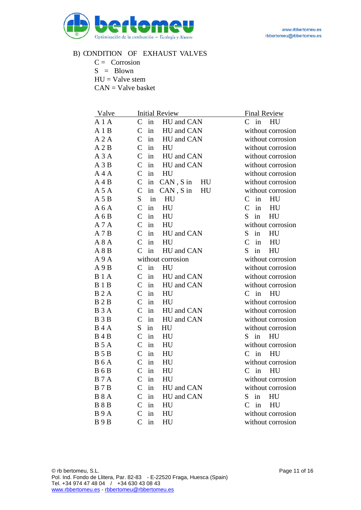

#### B) CONDITION OF EXHAUST VALVES

- $C =$  Corrosion
- $S = Blown$
- $HU = Value stem$

CAN = Valve basket

| Valve               | <b>Initial Review</b>                    | <b>Final Review</b>       |
|---------------------|------------------------------------------|---------------------------|
| A 1 A               | $\mathsf{C}$<br>HU and CAN<br>in         | $C$ in HU                 |
| A1B                 | $\mathcal{C}$<br>in<br>HU and CAN        | without corrosion         |
| A2A                 | $\mathsf{C}$<br>in<br>HU and CAN         | without corrosion         |
| A2B                 | $\mathsf{C}$<br>in<br>HU                 | without corrosion         |
| A3A                 | $\mathsf{C}$<br>in<br>HU and CAN         | without corrosion         |
| A3B                 | $\mathsf{C}$<br>in<br>HU and CAN         | without corrosion         |
| A 4 A               | $\mathsf{C}$<br>HU<br>in                 | without corrosion         |
| A 4 B               | $\mathcal{C}$<br>in<br>$CAN, S$ in<br>HU | without corrosion         |
| A 5 A               | $\mathcal{C}$<br>in<br>$CAN, S$ in<br>HU | without corrosion         |
| A 5 B               | S<br>$\operatorname{in}$<br>HU           | $\mathsf{C}$<br>in<br>HU  |
| A6A                 | $\mathcal{C}$<br>HU<br>in                | $\mathcal{C}$<br>in<br>HU |
| A6B                 | $\mathcal{C}$<br>in<br>HU                | S<br>in<br>HU             |
| A 7 A               | $\mathsf{C}$<br>HU<br>in                 | without corrosion         |
| A7B                 | $\mathsf{C}$<br>HU and CAN<br>in         | S<br>in<br>HU             |
| A8A                 | $\mathcal{C}$<br>in<br>HU                | $\mathcal{C}$<br>HU<br>in |
| A8B                 | $\mathcal{C}$<br>in<br>HU and CAN        | S<br>in<br>HU             |
| A9A                 | without corrosion                        | without corrosion         |
| A9B                 | $\mathsf{C}$<br>in<br>HU                 | without corrosion         |
| <b>B</b> 1 A        | $\mathcal{C}$<br>in<br>HU and CAN        | without corrosion         |
| <b>B</b> 1 <b>B</b> | $\mathsf{C}$<br>in<br>HU and CAN         | without corrosion         |
| <b>B2A</b>          | $\mathsf{C}$<br>HU<br>in                 | $C$ in<br>HU              |
| <b>B2B</b>          | $\mathsf{C}$<br>in<br>HU                 | without corrosion         |
| <b>B</b> 3 A        | $\mathcal{C}$<br>in<br>HU and CAN        | without corrosion         |
| <b>B</b> 3 <b>B</b> | $\mathsf{C}$<br>in<br>HU and CAN         | without corrosion         |
| <b>B</b> 4 A        | S.<br>HU<br>in                           | without corrosion         |
| <b>B</b> 4 <b>B</b> | $\mathcal{C}$<br>in<br>HU                | $S$ in<br>HU              |
| <b>B</b> 5 A        | $\mathsf{C}$<br>in<br>HU                 | without corrosion         |
| <b>B</b> 5 <b>B</b> | $\mathsf{C}$<br>HU<br>in                 | $\mathsf{C}$<br>in<br>HU  |
| <b>B6A</b>          | $\mathsf{C}$<br>in<br>HU                 | without corrosion         |
| <b>B6B</b>          | $\mathcal{C}$<br>in<br>HU                | in<br>$\mathsf{C}$<br>HU  |
| <b>B</b> 7 A        | $\mathcal{C}$<br>in<br>HU                | without corrosion         |
| <b>B</b> 7 <b>B</b> | $\mathsf{C}$<br>in<br>HU and CAN         | without corrosion         |
| <b>B</b> 8 A        | in<br>$\mathsf{C}$<br>HU and CAN         | S<br>in<br>HU             |
| <b>B</b> 8 <b>B</b> | $\mathsf{C}$<br>in<br>HU                 | in<br>$\mathcal{C}$<br>HU |
| <b>B</b> 9 A        | $\mathsf{C}$<br>in<br>HU                 | without corrosion         |
| B9B                 | in<br>HU<br>C                            | without corrosion         |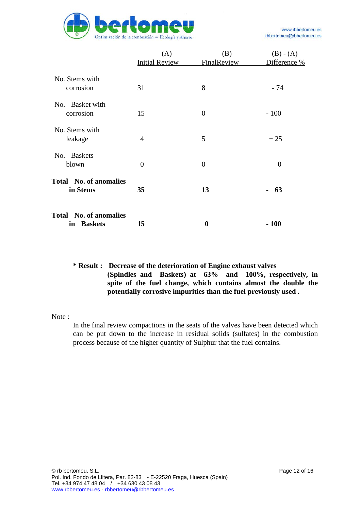

|                                                       | (A)<br><b>Initial Review</b> | (B)<br><b>FinalReview</b> | $(B) - (A)$<br>Difference % |
|-------------------------------------------------------|------------------------------|---------------------------|-----------------------------|
| No. Stems with<br>corrosion                           | 31                           | 8                         | - 74                        |
| No. Basket with<br>corrosion                          | 15                           | $\overline{0}$            | $-100$                      |
| No. Stems with<br>leakage                             | 4                            | 5                         | $+25$                       |
| <b>Baskets</b><br>No.<br>blown                        | $\boldsymbol{0}$             | $\overline{0}$            | $\boldsymbol{0}$            |
| <b>Total</b> No. of anomalies<br>in Stems             | 35                           | 13                        | 63                          |
| <b>Total</b> No. of anomalies<br><b>Baskets</b><br>in | 15                           | 0                         | $-100$                      |

#### **\* Result : Decrease of the deterioration of Engine exhaust valves (Spindles and Baskets) at 63% and 100%, respectively, in spite of the fuel change, which contains almost the double the potentially corrosive impurities than the fuel previously used .**

Note :

In the final review compactions in the seats of the valves have been detected which can be put down to the increase in residual solids (sulfates) in the combustion process because of the higher quantity of Sulphur that the fuel contains.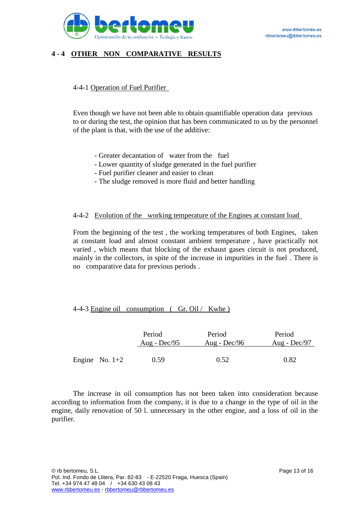

### **4 - 4 OTHER NON COMPARATIVE RESULTS**

#### 4-4-1 Operation of Fuel Purifier

Even though we have not been able to obtain quantifiable operation data previous to or during the test, the opinion that has been communicated to us by the personnel of the plant is that, with the use of the additive:

- Greater decantation of water from the fuel
- Lower quantity of sludge generated in the fuel purifier
- Fuel purifier cleaner and easier to clean
- The sludge removed is more fluid and better handling

#### 4-4-2 Evolution of the working temperature of the Engines at constant load

From the beginning of the test , the working temperatures of both Engines, taken at constant load and almost constant ambient temperature , have practically not varied , which means that blocking of the exhaust gases circuit is not produced, mainly in the collectors, in spite of the increase in impurities in the fuel . There is no comparative data for previous periods .

#### 4-4-3 Engine oil consumption ( Gr. Oil / Kwhe )

|                  | Period         | Period         | Period         |
|------------------|----------------|----------------|----------------|
|                  | Aug - $Dec/95$ | Aug - $Dec/96$ | Aug - $Dec/97$ |
| Engine No. $1+2$ | 0.59           | 0.52           | 0.82           |

The increase in oil consumption has not been taken into consideration because according to information from the company, it is due to a change in the type of oil in the engine, daily renovation of 50 l. unnecessary in the other engine, and a loss of oil in the purifier.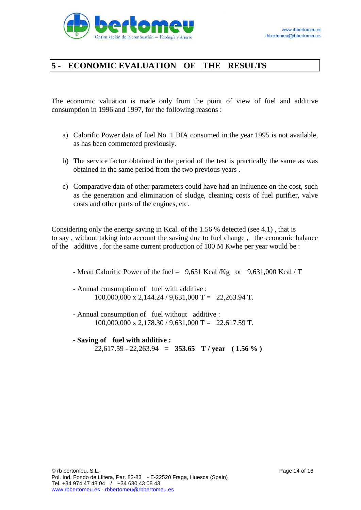

## **5 - ECONOMIC EVALUATION OF THE RESULTS**

The economic valuation is made only from the point of view of fuel and additive consumption in 1996 and 1997, for the following reasons :

- a) Calorific Power data of fuel No. 1 BIA consumed in the year 1995 is not available, as has been commented previously.
- b) The service factor obtained in the period of the test is practically the same as was obtained in the same period from the two previous years .
- c) Comparative data of other parameters could have had an influence on the cost, such as the generation and elimination of sludge, cleaning costs of fuel purifier, valve costs and other parts of the engines, etc.

Considering only the energy saving in Kcal. of the 1.56 % detected (see 4.1) , that is to say , without taking into account the saving due to fuel change , the economic balance of the additive , for the same current production of 100 M Kwhe per year would be :

- Mean Calorific Power of the fuel = 9,631 Kcal /Kg or 9,631,000 Kcal / T

- Annual consumption of fuel with additive : 100,000,000 x 2,144.24 / 9,631,000 T = 22,263.94 T.

- Annual consumption of fuel without additive :  $100,000,000 \text{ x } 2,178.30 / 9,631,000 \text{ T} = 22.617.59 \text{ T}.$
- **- Saving of fuel with additive :** 22,617.59 - 22,263.94 **= 353.65 T / year ( 1.56 % )**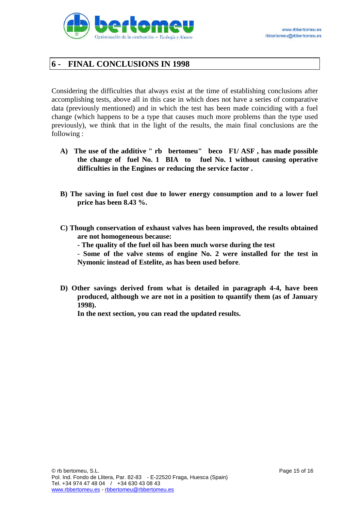

## **6 - FINAL CONCLUSIONS IN 1998**

Considering the difficulties that always exist at the time of establishing conclusions after accomplishing tests, above all in this case in which does not have a series of comparative data (previously mentioned) and in which the test has been made coinciding with a fuel change (which happens to be a type that causes much more problems than the type used previously), we think that in the light of the results, the main final conclusions are the following :

- **A) The use of the additive " rb bertomeu" beco F1/ ASF , has made possible the change of fuel No. 1 BIA to fuel No. 1 without causing operative difficulties in the Engines or reducing the service factor .**
- **B) The saving in fuel cost due to lower energy consumption and to a lower fuel price has been 8.43 %.**
- **C) Though conservation of exhaust valves has been improved, the results obtained are not homogeneous because:**

**- The quality of the fuel oil has been much worse during the test**

- **Some of the valve stems of engine No. 2 were installed for the test in Nymonic instead of Estelite, as has been used before**.

**D) Other savings derived from what is detailed in paragraph 4-4, have been produced, although we are not in a position to quantify them (as of January 1998).**

**In the next section, you can read the updated results.**